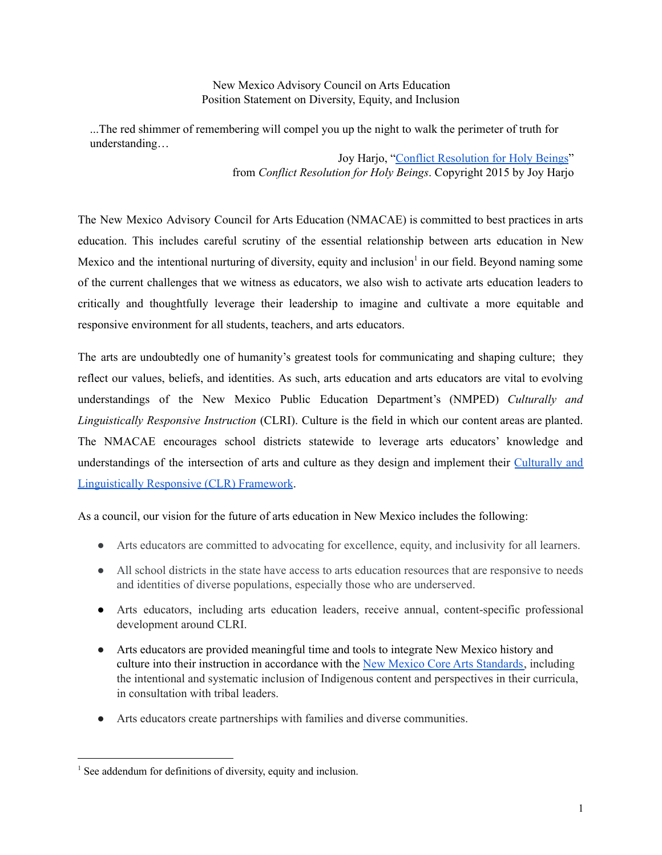New Mexico Advisory Council on Arts Education Position Statement on Diversity, Equity, and Inclusion

...The red shimmer of remembering will compel you up the night to walk the perimeter of truth for understanding…

> Joy Harjo, "Conflict [Resolution](https://www.poetryfoundation.org/poems/141847/conflict-resolution-for-holy-beings) for Holy Beings" from *Conflict Resolution for Holy Beings*. Copyright 2015 by Joy Harjo

The New Mexico Advisory Council for Arts Education (NMACAE) is committed to best practices in arts education. This includes careful scrutiny of the essential relationship between arts education in New Mexico and the intentional nurturing of diversity, equity and inclusion<sup>1</sup> in our field. Beyond naming some of the current challenges that we witness as educators, we also wish to activate arts education leaders to critically and thoughtfully leverage their leadership to imagine and cultivate a more equitable and responsive environment for all students, teachers, and arts educators.

The arts are undoubtedly one of humanity's greatest tools for communicating and shaping culture; they reflect our values, beliefs, and identities. As such, arts education and arts educators are vital to evolving understandings of the New Mexico Public Education Department's (NMPED) *Culturally and Linguistically Responsive Instruction* (CLRI). Culture is the field in which our content areas are planted. The NMACAE encourages school districts statewide to leverage arts educators' knowledge and understandings of the intersection of arts and culture as they design and implement their [Culturally](https://webnew.ped.state.nm.us/wp-content/uploads/2020/06/CLR_Guidance_Handbook_2019_June.2020.pdf) and [Linguistically](https://webnew.ped.state.nm.us/wp-content/uploads/2020/06/CLR_Guidance_Handbook_2019_June.2020.pdf) Responsive (CLR) Framework.

As a council, our vision for the future of arts education in New Mexico includes the following:

- Arts educators are committed to advocating for excellence, equity, and inclusivity for all learners.
- All school districts in the state have access to arts education resources that are responsive to needs and identities of diverse populations, especially those who are underserved.
- Arts educators, including arts education leaders, receive annual, content-specific professional development around CLRI.
- Arts educators are provided meaningful time and tools to integrate New Mexico history and culture into their instruction in accordance with the New Mexico Core Arts [Standards,](https://webnew.ped.state.nm.us/wp-content/uploads/2018/04/New-Mexico-Core-Arts-Standards.pdf) including the intentional and systematic inclusion of Indigenous content and perspectives in their curricula, in consultation with tribal leaders.
- Arts educators create partnerships with families and diverse communities.

<sup>&</sup>lt;sup>1</sup> See addendum for definitions of diversity, equity and inclusion.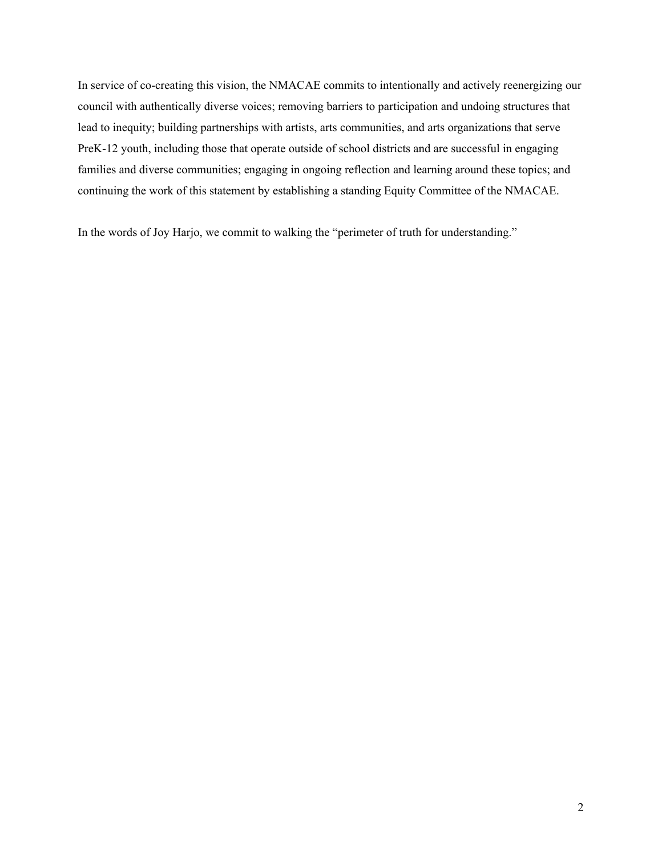In service of co-creating this vision, the NMACAE commits to intentionally and actively reenergizing our council with authentically diverse voices; removing barriers to participation and undoing structures that lead to inequity; building partnerships with artists, arts communities, and arts organizations that serve PreK-12 youth, including those that operate outside of school districts and are successful in engaging families and diverse communities; engaging in ongoing reflection and learning around these topics; and continuing the work of this statement by establishing a standing Equity Committee of the NMACAE.

In the words of Joy Harjo, we commit to walking the "perimeter of truth for understanding."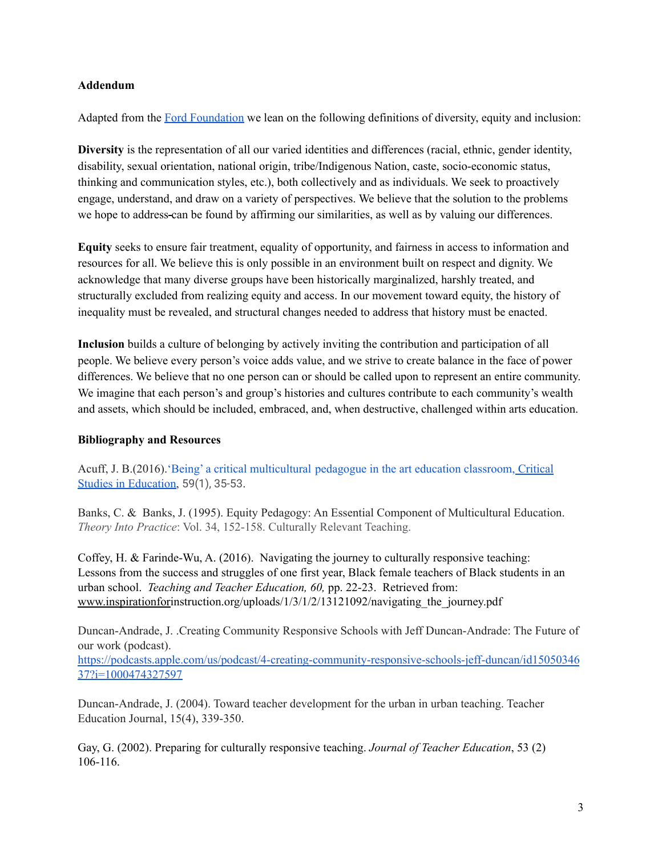## **Addendum**

Adapted from the Ford [Foundation](https://www.fordfoundation.org/about/people/diversity-equity-and-inclusion/) we lean on the following definitions of diversity, equity and inclusion:

**Diversity** is the representation of all our varied identities and differences (racial, ethnic, gender identity, disability, sexual orientation, national origin, tribe/Indigenous Nation, caste, socio-economic status, thinking and communication styles, etc.), both collectively and as individuals. We seek to proactively engage, understand, and draw on a variety of perspectives. We believe that the solution to the problems we hope to address-can be found by affirming our similarities, as well as by valuing our differences.

**Equity** seeks to ensure fair treatment, equality of opportunity, and fairness in access to information and resources for all. We believe this is only possible in an environment built on respect and dignity. We acknowledge that many diverse groups have been historically marginalized, harshly treated, and structurally excluded from realizing equity and access. In our movement toward equity, the history of inequality must be revealed, and structural changes needed to address that history must be enacted.

**Inclusion** builds a culture of belonging by actively inviting the contribution and participation of all people. We believe every person's voice adds value, and we strive to create balance in the face of power differences. We believe that no one person can or should be called upon to represent an entire community. We imagine that each person's and group's histories and cultures contribute to each community's wealth and assets, which should be included, embraced, and, when destructive, challenged within arts education.

## **Bibliography and Resources**

Acuff, J. B.(2016).'Being' a critical [multicultural](https://www.researchgate.net/profile/Joni_Acuff/publication/301640027_%27Being%27_a_critical_multicultural_pedagogue_in_the_art_education_classroom/links/5d94ad5d92851c33e950f456/Being-a-critical-multicultural-pedagogue-in-the-art-education-classroom.pdf) pedagogue in the art education classroom, Critical Studies in [Education,](https://www.researchgate.net/profile/Joni_Acuff/publication/301640027_%27Being%27_a_critical_multicultural_pedagogue_in_the_art_education_classroom/links/5d94ad5d92851c33e950f456/Being-a-critical-multicultural-pedagogue-in-the-art-education-classroom.pdf) 59(1), 35-53.

Banks, C. & Banks, J. (1995). Equity Pedagogy: An Essential Component of Multicultural Education. *Theory Into Practice*: Vol. 34, 152-158. Culturally Relevant Teaching.

Coffey, H. & Farinde-Wu, A. (2016). Navigating the journey to culturally responsive teaching: Lessons from the success and struggles of one first year, Black female teachers of Black students in an urban school. *Teaching and Teacher Education, 60,* pp. 22-23. Retrieved from: [www.inspirationfori](http://www.inspirationfor)nstruction.org/uploads/1/3/1/2/13121092/navigating the journey.pdf

Duncan-Andrade, J. .Creating Community Responsive Schools with Jeff Duncan-Andrade: The Future of our work (podcast).

[https://podcasts.apple.com/us/podcast/4-creating-community-responsive-schools-jeff-duncan/id15050346](https://podcasts.apple.com/us/podcast/4-creating-community-responsive-schools-jeff-duncan/id1505034637?i=1000474327597) [37?i=1000474327597](https://podcasts.apple.com/us/podcast/4-creating-community-responsive-schools-jeff-duncan/id1505034637?i=1000474327597)

Duncan-Andrade, J. (2004). Toward teacher development for the urban in urban teaching. Teacher Education Journal, 15(4), 339-350.

Gay, G. (2002). Preparing for culturally responsive teaching. *Journal of Teacher Education*, 53 (2) 106-116.